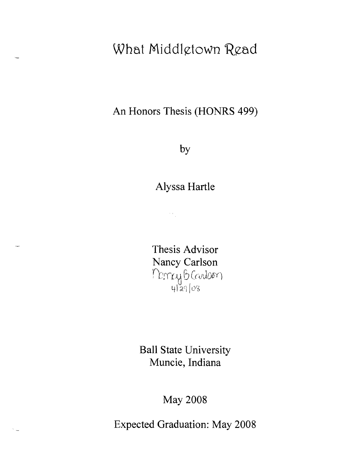# **What Middlgtown Read**

**An Honors Thesis (HONRS 499)** 

**by** 

**Alyssa Hartle** 

 $\frac{1}{2} \frac{1}{2} \frac{1}{2}$ 

**Thesis Advisor Nancy Carlson**  Moncey B Coulsen 4 29 O8

**Ball State University Muncie, Indiana** 

**May 2008** 

**Expected Graduation: May 2008**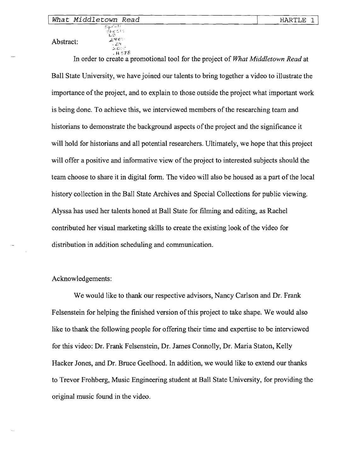#### *What Middletown Read*

 $\mathop{\mathrm{Spec}}\nolimits$  if  $\mathop{\mathrm{P}}\nolimits$  $_{\rm F}$ h $_{\rm C}$ C $_{\rm F}$ y  $\sqrt{2}$ 

Abstract:  $Z_{Z}^{TE}$ 

>"C:.'·'· • H ~,78 In order to create a promotional tool for the project of *What Middletown Read* at Ball State University, we have joined our talents to bring together a video to illustrate the importance of the project, and to explain to those outside the project what important work is being done. To achieve this, we interviewed members of the researching team and historians to demonstrate the background aspects of the project and the significance it will hold for historians and all potential researchers. Ultimately, we hope that this project will offer a positive and informative view of the project to interested subjects should the team choose to share it in digital form. The video will also be housed as a part of the local history collection in the Ball State Archives and Special Collections for public viewing. Alyssa has used her talents honed at Ball State for filming and editing, as Rachel contributed her visual marketing skills to create the existing look of the video for distribution in addition scheduling and communication.

HARTLE 1

Acknowledgements:

We would like to thank our respective advisors, Nancy Carlson and Dr. Frank Felsenstein for helping the finished version of this project to take shape. We would also like to thank the following people for offering their time and expertise to be interviewed for this video: Dr. Frank Felsenstein, Dr. James Connolly, Dr. Maria Staton, Kelly Hacker Jones, and Dr. Bruce Geelhoed. In addition, we would like to extend our thanks to Trevor Frohberg, Music Engineering student at Ball State University, for providing the original music found in the video.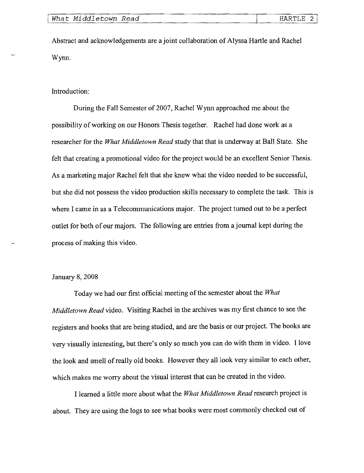Abstract and acknowledgements are a joint collaboration of Alyssa Hartle and Rachel Wynn.

Introduction:

During the Fall Semester of 2007, Rachel Wynn approached me about the possibility of working on our Honors Thesis together. Rachel had done work as a researcher for the *What Middletown Read* study that that is underway at Ball State. She felt that creating a promotional video for the project would be an excellent Senior Thesis. As a marketing major Rachel felt that she knew what the video needed to be successful, but she did not possess the video production skills necessary to complete the task. This is where I came in as a Telecommunications major. The project turned out to be a perfect outlet for both of our majors. The following are entries from a journal kept during the process of making this video.

### January 8,2008

Today we had our first official meeting of the semester about the *What Middletown Read* video. Visiting Rachel in the archives was my first chance to see the registers and books that are being studied, and are the basis or our project. The books are very visually interesting, but there's only so much you can do with them in video. I love the look and smell of really old books. However they all look very similar to each other, which makes me worry about the visual interest that can be created in the video.

I learned a little more about what the *What Middletown Read* research project is about. They are using the logs to see what books were most commonly checked out of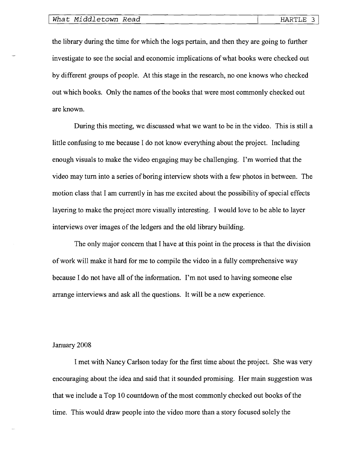the library during the time for which the logs pertain, and then they are going to further investigate to see the social and economic implications of what books were checked out by different groups of people. At this stage in the research, no one knows who checked out which books. Only the names of the books that were most commonly checked out are known.

During this meeting, we discussed what we want to be in the video. This is still a little confusing to me because I do not know everything about the project. Including enough visuals to make the video engaging may be challenging. I'm worried that the video may turn into a series of boring interview shots with a few photos in between. The motion class that I am currently in has me excited about the possibility of special effects layering to make the project more visually interesting. I would love to be able to layer interviews over images of the ledgers and the old library building.

The only major concern that I have at this point in the process is that the division of work will make it hard for me to compile the video in a fully comprehensive way because I do not have all of the information. I'm not used to having someone else arrange interviews and ask all the questions. It will be a new experience.

#### January 2008

I met with Nancy Carlson today for the first time about the project. She was very encouraging about the idea and said that it sounded promising. Her main suggestion was that we include a Top 10 countdown of the most commonly checked out books of the time. This would draw people into the video more than a story focused solely the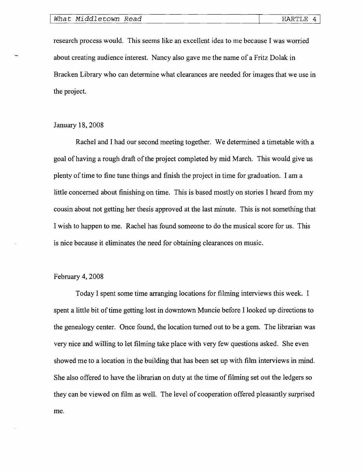research process would. This seems like an excellent idea to me because I was worried about creating audience interest. Nancy also gave me the name of a Fritz Dolak in Bracken Library who can determine what clearances are needed for images that we use in the project.

#### January 18, 2008

Rachel and I had our second meeting together. We determined a timetable with a goal of having a rough draft of the project completed by mid March. This would give us plenty oftime to fine tune things and finish the project in time for graduation. I am a little concerned about finishing on time. This is based mostly on stories I heard from my cousin about not getting her thesis approved at the last minute. This is not something that I wish to happen to me. Rachel has found someone to do the musical score for us. This is nice because it eliminates the need for obtaining clearances on music.

## February 4, 2008

Today I spent some time arranging locations for filming interviews this week. I spent a little bit of time getting lost in downtown Muncie before I looked up directions to the genealogy center. Once found, the location turned out to be a gem. The librarian was very nice and willing to let filming take place with very few questions asked. She even showed me to a location in the building that has been set up with film interviews in mind. She also offered to have the librarian on duty at the time of filming set out the ledgers so they can be viewed on film as well. The level of cooperation offered pleasantly surprised me.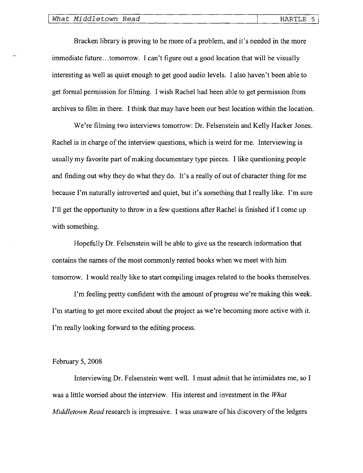Bracken library is proving to be more of a problem, and it's needed in the more immediate future ... tomorrow. I can't figure out a good location that will be visually interesting as well as quiet enough to get good audio levels. I also haven't been able to get formal permission for filming. I wish Rachel had been able to get permission from archives to film in there. I think that may have been our best location within the location.

We're filming two interviews tomorrow: Dr. Felsenstein and Kelly Hacker Jones. Rachel is in charge of the interview questions, which is weird for me. Interviewing is usually my favorite part of making documentary type pieces. I like questioning people and finding out why they do what they do. It's a really of out of character thing for me because I'm naturally introverted and quiet, but it's something that I really like. I'm sure I'll get the opportunity to throw in a few questions after Rachel is finished if I come up with something.

Hopefully Dr. Felsenstein will be able to give us the research information that contains the names of the most commonly rented books when we meet with him tomorrow. I would really like to start compiling images related to the books themselves.

I'm feeling pretty confident with the amount of progress we're making this week. I'm starting to get more excited about the project as we're becoming more active with it. I'm really looking forward to the editing process.

## February 5, 2008

Interviewing Dr. Felsenstein went well. I must admit that he intimidates me, so I was a little worried about the interview. His interest and investment in the *What Middletown Read* research is impressive. I was unaware of his discovery of the ledgers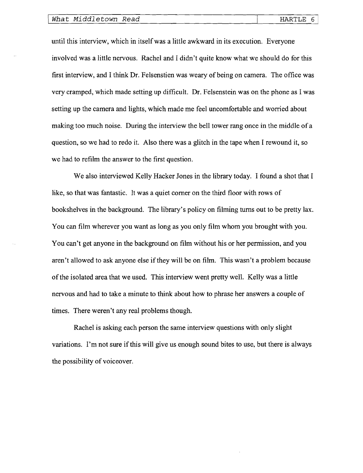until this interview, which in itselfwas a little awkward in its execution. Everyone involved was a little nervous. Rachel and I didn't quite know what we should do for this first interview, and I think Dr. Felsenstien was weary of being on camera. The office was very cramped, which made setting up difficult. Dr. Felsenstein was on the phone as I was setting up the camera and lights, which made me feel uncomfortable and worried about making too much noise. During the interview the bell tower rang once in the middle of a question, so we had to redo it. Also there was a glitch in the tape when I rewound it, so we had to refilm the answer to the first question.

We also interviewed Kelly Hacker Jones in the library today. I found a shot that I like, so that was fantastic. It was a quiet corner on the third floor with rows of bookshelves in the background. The library's policy on filming turns out to be pretty lax. You can film wherever you want as long as you only film whom you brought with you. You can't get anyone in the background on film without his or her permission, and you aren't allowed to ask anyone else ifthey will be on film. This wasn't a problem because of the isolated area that we used. This interview went pretty well. Kelly was a little nervous and had to take a minute to think about how to phrase her answers a couple of times. There weren't any real problems though.

Rachel is asking each person the same interview questions with only slight variations. I'm not sure if this will give us enough sound bites to use, but there is always the possibility of voiceover.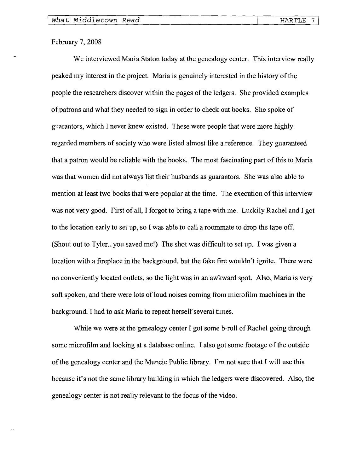## February 7, 2008

We interviewed Maria Staton today at the genealogy center. This interview really peaked my interest in the project. Maria is genuinely interested in the history of the people the researchers discover within the pages of the ledgers. She provided examples of patrons and what they needed to sign in order to check out books. She spoke of guarantors, which I never knew existed. These were people that were more highly regarded members of society who were listed almost like a reference. They guaranteed that a patron would be reliable with the books. The most fascinating part of this to Maria was that women did not always list their husbands as guarantors. She was also able to mention at least two books that were popular at the time. The execution of this interview was not very good. First of all, I forgot to bring a tape with me. Luckily Rachel and I got to the location early to set up, so I was able to call a roommate to drop the tape off. (Shout out to Tyler... you saved me!) The shot was difficult to set up. I was given a location with a fireplace in the background, but the fake fire wouldn't ignite. There were no conveniently located outlets, so the light was in an awkward spot. Also, Maria is very soft spoken, and there were lots of loud noises coming from microfilm machines in the background. I had to ask Maria to repeat herself several times.

While we were at the genealogy center I got some b-roll of Rachel going through some microfilm and looking at a database online. I also got some footage of the outside of the genealogy center and the Muncie Public library. I'm not sure that I will use this because it's not the same library building in which the ledgers were discovered. Also, the genealogy center is not really relevant to the focus of the video.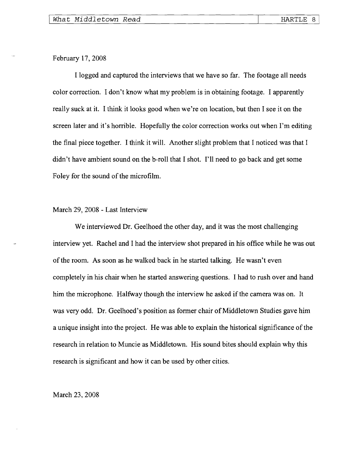February 17, 2008

I logged and captured the interviews that we have so far. The footage all needs color correction. I don't know what my problem is in obtaining footage. I apparently really suck at it. I think it looks good when we're on location, but then I see it on the screen later and it's horrible. Hopefully the color correction works out when I'm editing the final piece together. I think it will. Another slight problem that I noticed was that I didn't have ambient sound on the b-roll that I shot. I'll need to go back and get some Foley for the sound of the microfilm.

#### March 29,2008 - Last Interview

We interviewed Dr. Geelhoed the other day, and it was the most challenging interview yet. Rachel and I had the interview shot prepared in his office while he was out of the room. As soon as he walked back in he started talking. He wasn't even completely in his chair when he started answering questions. I had to rush over and hand him the microphone. Halfway though the interview he asked if the camera was on. It was very odd. Dr. Geelhoed's position as former chair of Middletown Studies gave him a unique insight into the project. He was able to explain the historical significance of the research in relation to Muncie as Middletown. His sound bites should explain why this research is significant and how it can be used by other cities.

March 23, 2008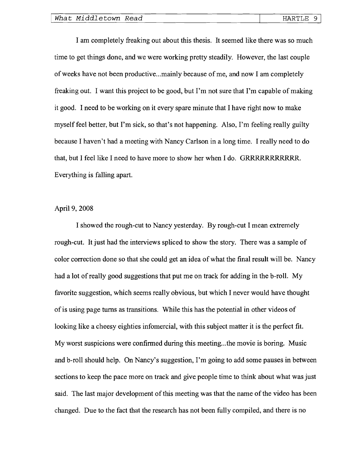I am completely freaking out about this thesis. It seemed like there was so much time to get things done, and we were working pretty steadily. However, the last couple of weeks have not been productive ... mainly because of me, and now I am completely freaking out. I want this project to be good, but I'm not sure that I'm capable of making it good. I need to be working on it every spare minute that I have right now to make myself feel better, but I'm sick, so that's not happening. Also, I'm feeling really guilty because I haven't had a meeting with Nancy Carlson in a long time. I really need to do that, but I feel like I need to have more to show her when I do. GRRRRRRRRRRR. Everything is falling apart.

## April 9, 2008

I showed the rough-cut to Nancy yesterday. By rough-cut I mean extremely rough-cut. It just had the interviews spliced to show the story. There was a sample of color correction done so that she could get an idea of what the final result will be. Nancy had a lot of really good suggestions that put me on track for adding in the b-roll. My favorite suggestion, which seems really obvious, but which I never would have thought of is using page turns as transitions. While this has the potential in other videos of looking like a cheesy eighties infomercial, with this subject matter it is the perfect fit. My worst suspicions were confirmed during this meeting...the movie is boring. Music and b-roll should help. On Nancy's suggestion, I'm going to add some pauses in between sections to keep the pace more on track and give people time to think about what was just said. The last major development of this meeting was that the name of the video has been changed. Due to the fact that the research has not been fully compiled, and there is no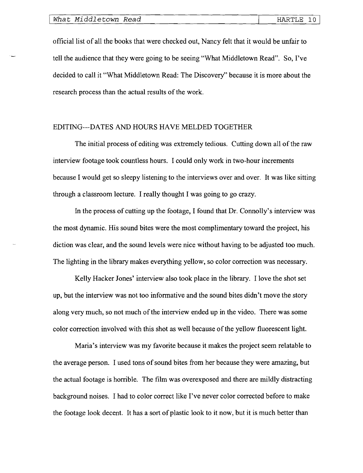official list of all the books that were checked out, Nancy felt that it would be unfair to tell the audience that they were going to be seeing "What Middletown Read". So, I've decided to call it "What Middletown Read: The Discovery" because it is more about the research process than the actual results of the work.

### EDITING---DATES AND HOURS HAVE MELDED TOGETHER

The initial process of editing was extremely tedious. Cutting down all of the raw interview footage took countless hours. I could only work in two-hour increments because I would get so sleepy listening to the interviews over and over. It was like sitting through a classroom lecture. I really thought I was going to go crazy.

In the process of cutting up the footage, I found that Dr. Connolly's interview was the most dynamic. His sound bites were the most complimentary toward the project, his diction was clear, and the sound levels were nice without having to be adjusted too much. The lighting in the library makes everything yellow, so color correction was necessary.

Kelly Hacker Jones' interview also took place in the library. I love the shot set up, but the interview was not too informative and the sound bites didn't move the story along very much, so not much of the interview ended up in the video. There was some color correction involved with this shot as well because of the yellow fluorescent light.

Maria's interview was my favorite because it makes the project seem relatable to the average person. I used tons of sound bites from her because they were amazing, but the actual footage is horrible. The film was overexposed and there are mildly distracting background noises. I had to color correct like I've never color corrected before to make the footage look decent. It has a sort of plastic look to it now, but it is much better than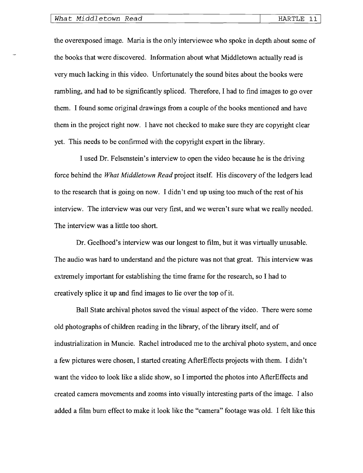the overexposed image. Maria is the only interviewee who spoke in depth about some of the books that were discovered. Information about what Middletown actually read is very much lacking in this video. Unfortunately the sound bites about the books were rambling, and had to be significantly spliced. Therefore, I had to find images to go over them. I found some original drawings from a couple of the books mentioned and have them in the project right now. I have not checked to make sure they are copyright clear yet. This needs to be confinned with the copyright expert in the library.

I used Dr. Felsenstein's interview to open the video because he is the driving force behind the *What Middletown Read* project itself. His discovery of the ledgers lead to the research that is going on now. I didn't end up using too much of the rest of his interview. The interview was our very first, and we weren't sure what we really needed. The interview was a little too short.

Dr. Geelhoed's interview was our longest to film, but it was virtually unusable. The audio was hard to understand and the picture was not that great. This interview was extremely important for establishing the time frame for the research, so I had to creatively splice it up and find images to lie over the top of it.

Ball State archival photos saved the visual aspect of the video. There were some old photographs of children reading in the library, of the library itself, and of industrialization in Muncie. Rachel introduced me to the archival photo system, and once a few pictures were chosen, I started creating AfterEffects projects with them. I didn't want the video to look like a slide show, so I imported the photos into AfterEffects and created camera movements and zooms into visually interesting parts of the image. I also added a film bum effect to make it look like the "camera" footage was old. I felt like this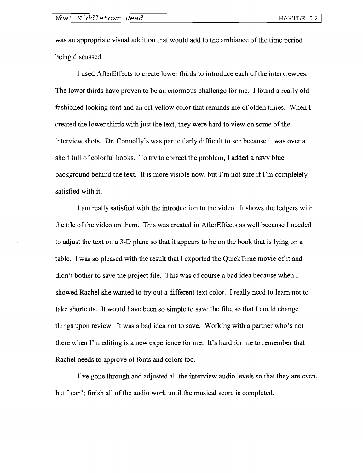was an appropriate visual addition that would add to the ambiance of the time period being discussed.

I used AfterEffects to create lower thirds to introduce each of the interviewees. The lower thirds have proven to be an enormous challenge for me. I found a really old fashioned looking font and an off yellow color that reminds me of olden times. When I created the lower thirds with just the text, they were hard to view on some of the interview shots. Dr. Connolly's was particularly difficult to see because it was over a shelf full of colorful books. To try to correct the problem, I added a navy blue background behind the text. It is more visible now, but I'm not sure if I'm completely satisfied with it.

I am really satisfied with the introduction to the video. It shows the ledgers with the tile of the video on them. This was created in AfterEffects as well because I needed to adjust the text on a 3-D plane so that it appears to be on the book that is lying on a table. I was so pleased with the result that I exported the QuickTime movie of it and didn't bother to save the project file. This was of course a bad idea because when I showed Rachel she wanted to try out a different text color. I really need to learn not to take shortcuts. It would have been so simple to save the file, so that I could change things upon review. It was a bad idea not to save. Working with a partner who's not there when I'm editing is a new experience for me. It's hard for me to remember that Rachel needs to approve of fonts and colors too.

I've gone through and adjusted all the interview audio levels so that they are even, but I can't finish all of the audio work until the musical score is completed.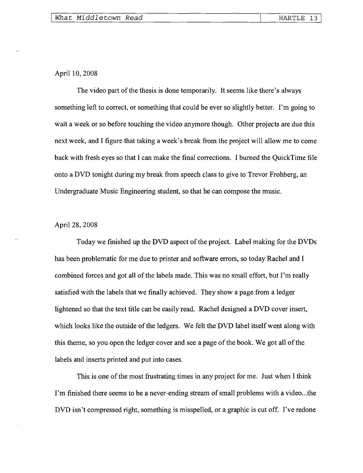April 10, 2008

The video part of the thesis is done temporarily. It seems like there's always something left to correct, or something that could be ever so slightly better. I'm going to wait a week or so before touching the video anymore though. Other projects are due this next week, and I figure that taking a week's break from the project will allow me to come back with fresh eyes so that I can make the final corrections. I burned the QuickTime file onto a DVD tonight during my break from speech class to give to Trevor Frohberg, an Undergraduate Music Engineering student, so that he can compose the music.

# April 28, 2008

Today we finished up the DVD aspect of the project. Label making for the DVDs has been problematic for me due to printer and software errors, so today Rachel and I combined forces and got all of the labels made. This was no small effort, but I'm really satisfied with the labels that we finally achieved. They show a page from a ledger lightened so that the text title can be easily read. Rachel designed a DVD cover insert, which looks like the outside of the ledgers. We felt the DVD label itself went along with this theme, so you open the ledger cover and see a page of the book. We got all of the labels and inserts printed and put into cases.

This is one of the most frustrating times in any project for me. Just when I think I'm finished there seems to be a never-ending stream of small problems with a video ... the DVD isn't compressed right, something is misspelled, or a graphic is cut off. I've redone